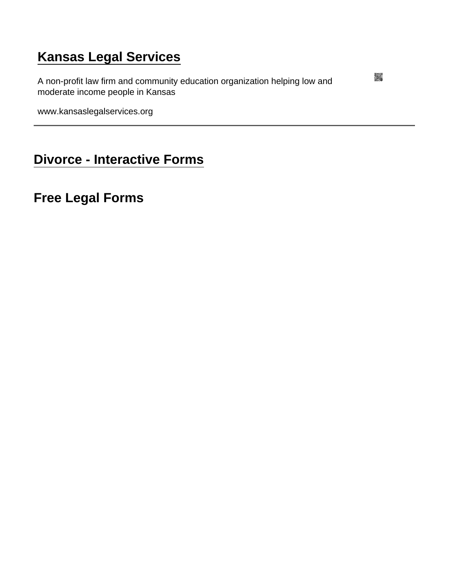## [Kansas Legal Services](https://www.kansaslegalservices.org/)

A non-profit law firm and community education organization helping low and moderate income people in Kansas

www.kansaslegalservices.org

[Divorce - Interactive Forms](https://www.kansaslegalservices.org/node/789/divorce-interactive-forms)

Free Legal Forms